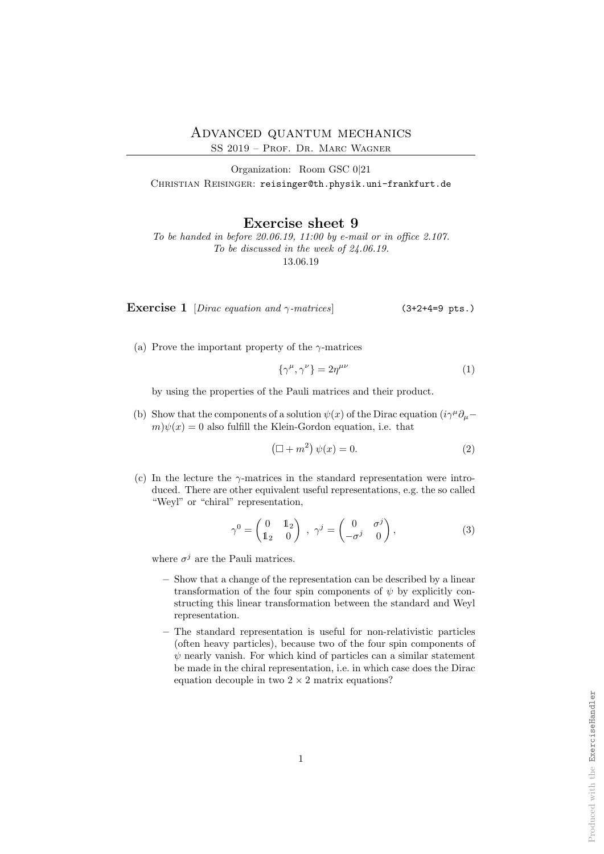SS 2019 – Prof. Dr. Marc Wagner

Organization: Room GSC 0|21 CHRISTIAN REISINGER: reisinger@th.physik.uni-frankfurt.de

Exercise sheet 9

To be handed in before 20.06.19, 11:00 by e-mail or in office 2.107. To be discussed in the week of 24.06.19. 13.06.19

Exercise 1 [Dirac equation and  $\gamma$ -matrices] (3+2+4=9 pts.)

(a) Prove the important property of the  $\gamma$ -matrices

$$
\{\gamma^{\mu}, \gamma^{\nu}\} = 2\eta^{\mu\nu} \tag{1}
$$

by using the properties of the Pauli matrices and their product.

(b) Show that the components of a solution  $\psi(x)$  of the Dirac equation  $(i\gamma^{\mu}\partial_{\mu}$  $m\psi(x) = 0$  also fulfill the Klein-Gordon equation, i.e. that

$$
\left(\Box + m^2\right)\psi(x) = 0.\tag{2}
$$

(c) In the lecture the  $\gamma$ -matrices in the standard representation were introduced. There are other equivalent useful representations, e.g. the so called "Weyl" or "chiral" representation,

$$
\gamma^0 = \begin{pmatrix} 0 & 1 \\ 1_2 & 0 \end{pmatrix} , \gamma^j = \begin{pmatrix} 0 & \sigma^j \\ -\sigma^j & 0 \end{pmatrix}, \tag{3}
$$

where  $\sigma^j$  are the Pauli matrices.

- Show that a change of the representation can be described by a linear transformation of the four spin components of  $\psi$  by explicitly constructing this linear transformation between the standard and Weyl representation.
- The standard representation is useful for non-relativistic particles (often heavy particles), because two of the four spin components of  $\psi$  nearly vanish. For which kind of particles can a similar statement be made in the chiral representation, i.e. in which case does the Dirac equation decouple in two  $2 \times 2$  matrix equations?